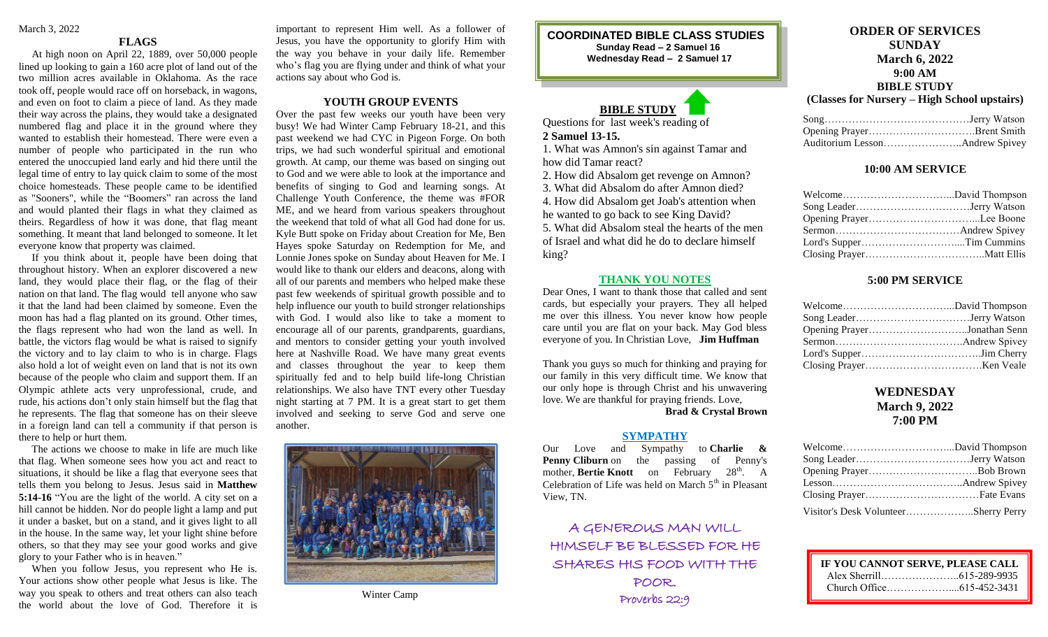#### **FLAGS**

 At high noon on April 22, 1889, over 50,000 people lined up looking to gain a 160 acre plot of land out of the two million acres available in Oklahoma. As the race took off, people would race off on horseback, in wagons, and even on foot to claim a piece of land. As they made their way across the plains, they would take a designated numbered flag and place it in the ground where they wanted to establish their homestead. There were even a number of people who participated in the run who entered the unoccupied land early and hid there until the legal time of entry to lay quick claim to some of the most choice homesteads. These people came to be identified as ["Sooners"](https://en.wikipedia.org/wiki/Sooners), while the "Boomers" ran across the land and would planted their flags in what they claimed as theirs. Regardless of how it was done, that flag meant something. It meant that land belonged to someone. It let everyone know that property was claimed.

 If you think about it, people have been doing that throughout history. When an explorer discovered a new land, they would place their flag, or the flag of their nation on that land. The flag would tell anyone who saw it that the land had been claimed by someone. Even the moon has had a flag planted on its ground. Other times, the flags represent who had won the land as well. In battle, the victors flag would be what is raised to signify the victory and to lay claim to who is in charge. Flags also hold a lot of weight even on land that is not its own because of the people who claim and support them. If an Olympic athlete acts very unprofessional, crude, and rude, his actions don't only stain himself but the flag that he represents. The flag that someone has on their sleeve in a foreign land can tell a community if that person is there to help or hurt them.

 The actions we choose to make in life are much like that flag. When someone sees how you act and react to situations, it should be like a flag that everyone sees that tells them you belong to Jesus. Jesus said in **Matthew 5:14-16** "You are the light of the world. A city set on a hill cannot be hidden. Nor do people light a lamp and put it under a basket, but on a stand, and it gives light to all in the house. In the same way, let your light shine before others, so that they may see your good works and give glory to your Father who is in heaven."

 When you follow Jesus, you represent who He is. Your actions show other people what Jesus is like. The way you speak to others and treat others can also teach the world about the love of God. Therefore it is

important to represent Him well. As a follower of Jesus, you have the opportunity to glorify Him with the way you behave in your daily life. Remember who's flag you are flying under and think of what your actions say about who God is.

## **YOUTH GROUP EVENTS**

Over the past few weeks our youth have been very busy! We had Winter Camp February 18-21, and this past weekend we had CYC in Pigeon Forge. On both trips, we had such wonderful spiritual and emotional growth. At camp, our theme was based on singing out to God and we were able to look at the importance and benefits of singing to God and learning songs. At Challenge Youth Conference, the theme was #FOR ME, and we heard from various speakers throughout the weekend that told of what all God had done for us. Kyle Butt spoke on Friday about Creation for Me, Ben Hayes spoke Saturday on Redemption for Me, and Lonnie Jones spoke on Sunday about Heaven for Me. I would like to thank our elders and deacons, along with all of our parents and members who helped make these past few weekends of spiritual growth possible and to help influence our youth to build stronger relationships with God. I would also like to take a moment to encourage all of our parents, grandparents, guardians, and mentors to consider getting your youth involved here at Nashville Road. We have many great events and classes throughout the year to keep them spiritually fed and to help build life-long Christian relationships. We also have TNT every other Tuesday night starting at 7 PM. It is a great start to get them involved and seeking to serve God and serve one another.



Winter Camp

**COORDINATED BIBLE CLASS STUDIES Sunday Read – 2 Samuel 16 Wednesday Read – 2 Samuel 17**

# **BIBLE STUDY**

Questions for last week's reading of **2 Samuel 13-15.**

1. What was Amnon's sin against Tamar and how did Tamar react?

2. How did Absalom get revenge on Amnon?

3. What did Absalom do after Amnon died?

4. How did Absalom get Joab's attention when

he wanted to go back to see King David? 5. What did Absalom steal the hearts of the men

of Israel and what did he do to declare himself king?

#### **THANK YOU NOTES**

Dear Ones, I want to thank those that called and sent cards, but especially your prayers. They all helped me over this illness. You never know how people care until you are flat on your back. May God bless everyone of you. In Christian Love, **Jim Huffman**

Thank you guys so much for thinking and praying for our family in this very difficult time. We know that our only hope is through Christ and his unwavering love. We are thankful for praying friends. Love,

# **Brad & Crystal Brown**

#### **SYMPATHY**

Our Love and Sympathy to **Charlie & Penny Cliburn** on the passing of Penny's mother, **Bertie Knott** on February 28<sup>th</sup>. A Celebration of Life was held on March  $5<sup>th</sup>$  in Pleasant View, TN.

A GENEROUS MAN WILL HIMSELF BE BLESSED FOR HE SHARES HIS FOOD WITH THE POOR. Proverbs 22:9

# **ORDER OF SERVICES SUNDAY March 6, 2022 9:00 AM BIBLE STUDY**

**(Classes for Nursery – High School upstairs)**

#### **10:00 AM SERVICE**

### **5:00 PM SERVICE**

| Opening PrayerJonathan Senn |  |
|-----------------------------|--|
|                             |  |
|                             |  |
|                             |  |

# **WEDNESDAY March 9, 2022 7:00 PM**

| Visitor's Desk VolunteerSherry Perry |  |
|--------------------------------------|--|

| IF YOU CANNOT SERVE, PLEASE CALL |  |
|----------------------------------|--|
|                                  |  |
|                                  |  |
|                                  |  |